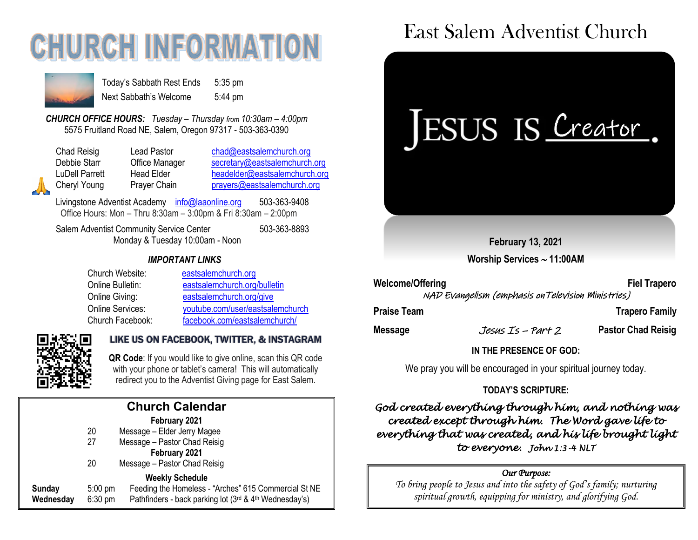# **CHURCH INFORMATI**



Today's Sabbath Rest Ends 5:35 pm Next Sabbath's Welcome 5:44 pm

*CHURCH OFFICE HOURS: Tuesday – Thursday from 10:30am – 4:00pm* 5575 Fruitland Road NE, Salem, Oregon 97317 - 503-363-0390

Chad Reisig Lead Pastor [chad@eastsalemchurch.org](mailto:chad@eastsalemchurch.org) Debbie Starr **Office Manager** [secretary@eastsalemchurch.org](mailto:secretary@eastsalemchurch.org) LuDell Parrett Head Elder [headelder@eastsalemchurch.org](mailto:headelder@eastsalemchurch.org) Cheryl Young Prayer Chain [prayers@eastsalemchurch.org](mailto:prayers@eastsalemchurch.org)

Livingstone Adventist Academy [info@laaonline.org](mailto:info@laaonline.org) 503-363-9408 Office Hours: Mon – Thru 8:30am – 3:00pm & Fri 8:30am – 2:00pm

Salem Adventist Community Service Center 503-363-8893 Monday & Tuesday 10:00am - Noon

#### *IMPORTANT LINKS*

| Church Website:  | eastsalemchurch.org              |
|------------------|----------------------------------|
| Online Bulletin: | eastsalemchurch.org/bulletin     |
| Online Giving:   | eastsalemchurch.org/give         |
| Online Services: | youtube.com/user/eastsalemchurch |
| Church Facebook: | facebook.com/eastsalemchurch/    |



#### LIKE US ON FACEBOOK, TWITTER, & INSTAGRAM

 **QR Code**: If you would like to give online, scan this QR code with your phone or tablet's camera! This will automatically redirect you to the Adventist Giving page for East Salem.

|           |                   | <b>Church Calendar</b>                                 |
|-----------|-------------------|--------------------------------------------------------|
|           |                   | February 2021                                          |
|           | 20                | Message - Elder Jerry Magee                            |
|           | 27                | Message - Pastor Chad Reisig                           |
|           |                   | February 2021                                          |
|           | 20                | Message - Pastor Chad Reisig                           |
|           |                   | <b>Weekly Schedule</b>                                 |
| Sunday    | $5:00 \text{ pm}$ | Feeding the Homeless - "Arches" 615 Commercial St NE   |
| Wednesday | $6:30$ pm         | Pathfinders - back parking lot (3rd & 4th Wednesday's) |
|           |                   |                                                        |

## East Salem Adventist Church



**February 13, 2021**

**Worship Services 11:00AM**

Welcome/Offering **Fiel Trapero** NAD Evangelism (emphasis onTelevision Ministries)

**Praise Team Trapero Family** 

**Message** Jesus Is – Part 2 **Pastor Chad Reisig**

**IN THE PRESENCE OF GOD:** 

We pray you will be encouraged in your spiritual journey today.

#### **TODAY'S SCRIPTURE:**

*God created everything through him, and nothing was created except through him. The Word gave life to everything that was created, and his life brought light to everyone. John 1:3-4 NLT* 

#### *Our Purpose:*

*To bring people to Jesus and into the safety of God's family; nurturing spiritual growth, equipping for ministry, and glorifying God.*